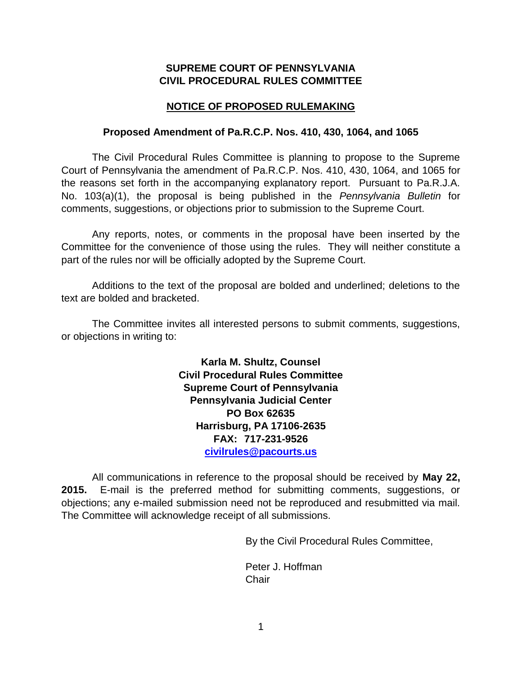## **SUPREME COURT OF PENNSYLVANIA CIVIL PROCEDURAL RULES COMMITTEE**

## **NOTICE OF PROPOSED RULEMAKING**

### **Proposed Amendment of Pa.R.C.P. Nos. 410, 430, 1064, and 1065**

The Civil Procedural Rules Committee is planning to propose to the Supreme Court of Pennsylvania the amendment of Pa.R.C.P. Nos. 410, 430, 1064, and 1065 for the reasons set forth in the accompanying explanatory report. Pursuant to Pa.R.J.A. No. 103(a)(1), the proposal is being published in the *Pennsylvania Bulletin* for comments, suggestions, or objections prior to submission to the Supreme Court.

Any reports, notes, or comments in the proposal have been inserted by the Committee for the convenience of those using the rules. They will neither constitute a part of the rules nor will be officially adopted by the Supreme Court.

Additions to the text of the proposal are bolded and underlined; deletions to the text are bolded and bracketed.

The Committee invites all interested persons to submit comments, suggestions, or objections in writing to:

> **Karla M. Shultz, Counsel Civil Procedural Rules Committee Supreme Court of Pennsylvania Pennsylvania Judicial Center PO Box 62635 Harrisburg, PA 17106-2635 FAX: 717-231-9526 [civilrules@pacourts.us](mailto:civilrules@pacourts.us)**

All communications in reference to the proposal should be received by **May 22, 2015.** E-mail is the preferred method for submitting comments, suggestions, or objections; any e-mailed submission need not be reproduced and resubmitted via mail. The Committee will acknowledge receipt of all submissions.

By the Civil Procedural Rules Committee,

Peter J. Hoffman **Chair**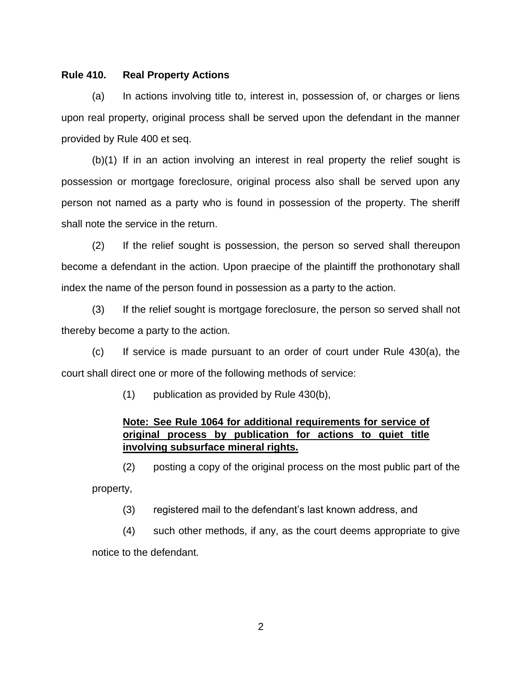#### **Rule 410. Real Property Actions**

(a) In actions involving title to, interest in, possession of, or charges or liens upon real property, original process shall be served upon the defendant in the manner provided by Rule 400 et seq.

(b)(1) If in an action involving an interest in real property the relief sought is possession or mortgage foreclosure, original process also shall be served upon any person not named as a party who is found in possession of the property. The sheriff shall note the service in the return.

(2) If the relief sought is possession, the person so served shall thereupon become a defendant in the action. Upon praecipe of the plaintiff the prothonotary shall index the name of the person found in possession as a party to the action.

(3) If the relief sought is mortgage foreclosure, the person so served shall not thereby become a party to the action.

(c) If service is made pursuant to an order of court under Rule 430(a), the court shall direct one or more of the following methods of service:

(1) publication as provided by Rule 430(b),

# **Note: See Rule 1064 for additional requirements for service of original process by publication for actions to quiet title involving subsurface mineral rights.**

 (2) posting a copy of the original process on the most public part of the property,

(3) registered mail to the defendant's last known address, and

 (4) such other methods, if any, as the court deems appropriate to give notice to the defendant.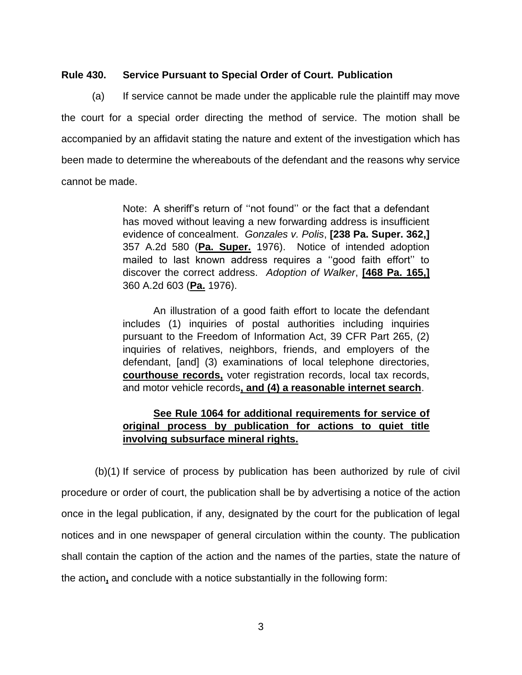#### **Rule 430. Service Pursuant to Special Order of Court. Publication**

(a) If service cannot be made under the applicable rule the plaintiff may move the court for a special order directing the method of service. The motion shall be accompanied by an affidavit stating the nature and extent of the investigation which has been made to determine the whereabouts of the defendant and the reasons why service cannot be made.

> Note: A sheriff's return of ''not found'' or the fact that a defendant has moved without leaving a new forwarding address is insufficient evidence of concealment. *Gonzales v. Polis*, **[238 Pa. Super. 362,]** 357 A.2d 580 (**Pa. Super.** 1976). Notice of intended adoption mailed to last known address requires a ''good faith effort'' to discover the correct address. *Adoption of Walker*, **[468 Pa. 165,]** 360 A.2d 603 (**Pa.** 1976).

> An illustration of a good faith effort to locate the defendant includes (1) inquiries of postal authorities including inquiries pursuant to the Freedom of Information Act, 39 CFR Part 265, (2) inquiries of relatives, neighbors, friends, and employers of the defendant, [and] (3) examinations of local telephone directories, **courthouse records,** voter registration records, local tax records, and motor vehicle records**, and (4) a reasonable internet search**.

# **See Rule 1064 for additional requirements for service of original process by publication for actions to quiet title involving subsurface mineral rights.**

(b)(1) If service of process by publication has been authorized by rule of civil procedure or order of court, the publication shall be by advertising a notice of the action once in the legal publication, if any, designated by the court for the publication of legal notices and in one newspaper of general circulation within the county. The publication shall contain the caption of the action and the names of the parties, state the nature of the action**,** and conclude with a notice substantially in the following form: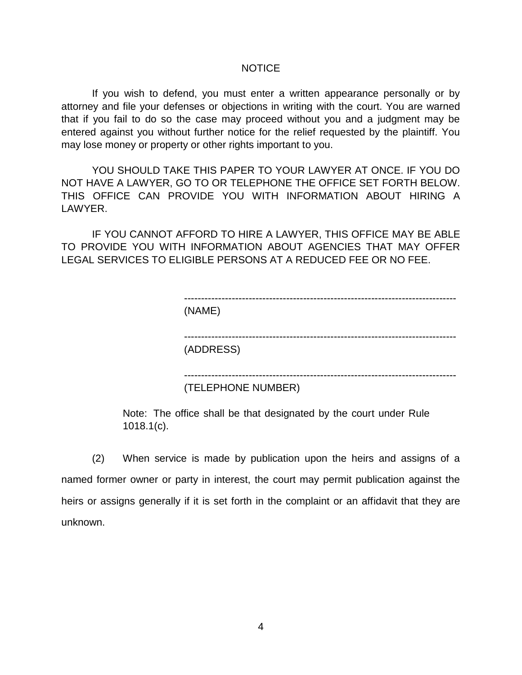#### NOTICE

 If you wish to defend, you must enter a written appearance personally or by attorney and file your defenses or objections in writing with the court. You are warned that if you fail to do so the case may proceed without you and a judgment may be entered against you without further notice for the relief requested by the plaintiff. You may lose money or property or other rights important to you.

YOU SHOULD TAKE THIS PAPER TO YOUR LAWYER AT ONCE. IF YOU DO NOT HAVE A LAWYER, GO TO OR TELEPHONE THE OFFICE SET FORTH BELOW. THIS OFFICE CAN PROVIDE YOU WITH INFORMATION ABOUT HIRING A LAWYER.

IF YOU CANNOT AFFORD TO HIRE A LAWYER, THIS OFFICE MAY BE ABLE TO PROVIDE YOU WITH INFORMATION ABOUT AGENCIES THAT MAY OFFER LEGAL SERVICES TO ELIGIBLE PERSONS AT A REDUCED FEE OR NO FEE.

| (NAME)    |                    |  |
|-----------|--------------------|--|
|           |                    |  |
|           |                    |  |
|           |                    |  |
| (ADDRESS) |                    |  |
|           | (TELEPHONE NUMBER) |  |

Note: The office shall be that designated by the court under Rule 1018.1(c).

(2) When service is made by publication upon the heirs and assigns of a named former owner or party in interest, the court may permit publication against the heirs or assigns generally if it is set forth in the complaint or an affidavit that they are unknown.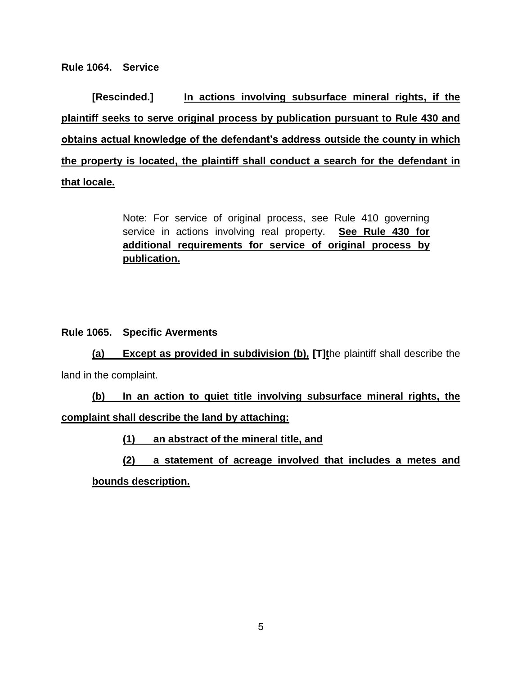**Rule 1064. Service** 

**[Rescinded.] In actions involving subsurface mineral rights, if the plaintiff seeks to serve original process by publication pursuant to Rule 430 and obtains actual knowledge of the defendant's address outside the county in which the property is located, the plaintiff shall conduct a search for the defendant in that locale.**

> Note: For service of original process, see Rule 410 governing service in actions involving real property. **See Rule 430 for additional requirements for service of original process by publication.**

# **Rule 1065. Specific Averments**

**(a) Except as provided in subdivision (b), [T]t**he plaintiff shall describe the land in the complaint.

**(b) In an action to quiet title involving subsurface mineral rights, the complaint shall describe the land by attaching:**

**(1) an abstract of the mineral title, and**

**(2) a statement of acreage involved that includes a metes and** 

**bounds description.**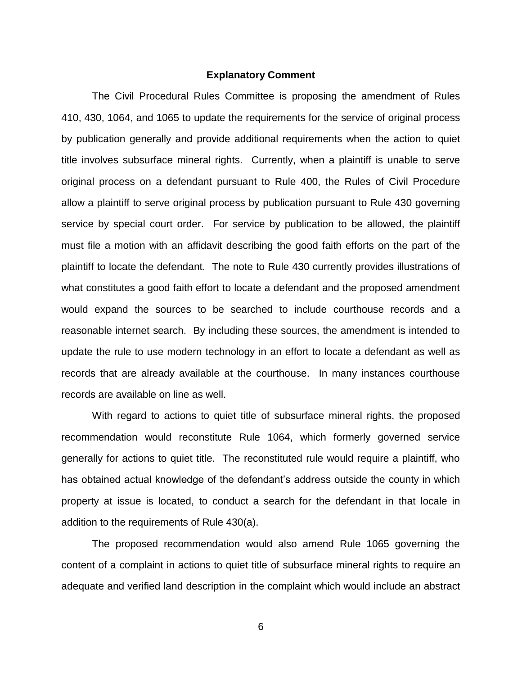#### **Explanatory Comment**

The Civil Procedural Rules Committee is proposing the amendment of Rules 410, 430, 1064, and 1065 to update the requirements for the service of original process by publication generally and provide additional requirements when the action to quiet title involves subsurface mineral rights. Currently, when a plaintiff is unable to serve original process on a defendant pursuant to Rule 400, the Rules of Civil Procedure allow a plaintiff to serve original process by publication pursuant to Rule 430 governing service by special court order. For service by publication to be allowed, the plaintiff must file a motion with an affidavit describing the good faith efforts on the part of the plaintiff to locate the defendant. The note to Rule 430 currently provides illustrations of what constitutes a good faith effort to locate a defendant and the proposed amendment would expand the sources to be searched to include courthouse records and a reasonable internet search. By including these sources, the amendment is intended to update the rule to use modern technology in an effort to locate a defendant as well as records that are already available at the courthouse. In many instances courthouse records are available on line as well.

With regard to actions to quiet title of subsurface mineral rights, the proposed recommendation would reconstitute Rule 1064, which formerly governed service generally for actions to quiet title. The reconstituted rule would require a plaintiff, who has obtained actual knowledge of the defendant's address outside the county in which property at issue is located, to conduct a search for the defendant in that locale in addition to the requirements of Rule 430(a).

The proposed recommendation would also amend Rule 1065 governing the content of a complaint in actions to quiet title of subsurface mineral rights to require an adequate and verified land description in the complaint which would include an abstract

6